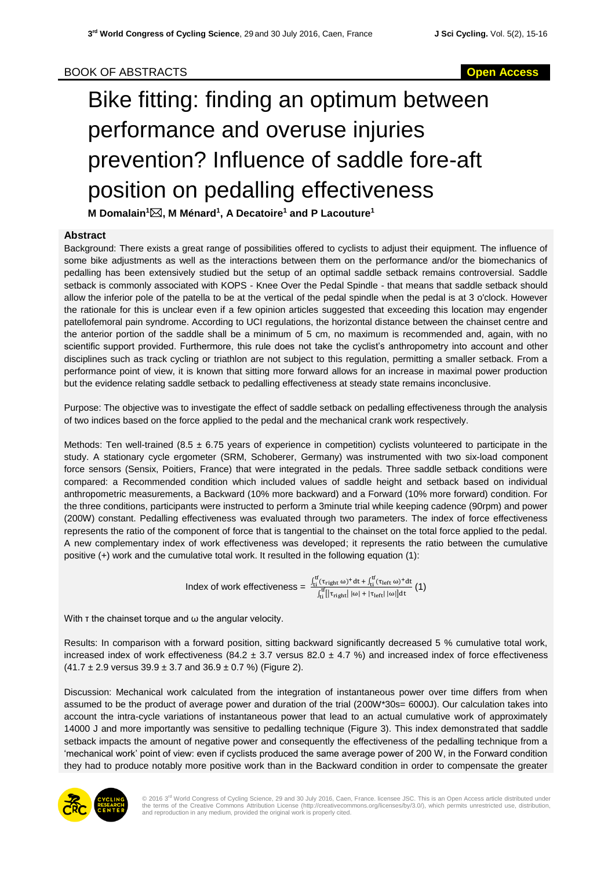## BOOK OF ABSTRACTS **Open Access**

## Bike fitting: finding an optimum between performance and overuse injuries prevention? Influence of saddle fore-aft position on pedalling effectiveness

**M Domalain<sup>1</sup>, M Ménard<sup>1</sup> , A Decatoire<sup>1</sup> and P Lacouture<sup>1</sup>**

## **Abstract**

Background: There exists a great range of possibilities offered to cyclists to adjust their equipment. The influence of some bike adjustments as well as the interactions between them on the performance and/or the biomechanics of pedalling has been extensively studied but the setup of an optimal saddle setback remains controversial. Saddle setback is commonly associated with KOPS - Knee Over the Pedal Spindle - that means that saddle setback should allow the inferior pole of the patella to be at the vertical of the pedal spindle when the pedal is at 3 o'clock. However the rationale for this is unclear even if a few opinion articles suggested that exceeding this location may engender patellofemoral pain syndrome. According to UCI regulations, the horizontal distance between the chainset centre and the anterior portion of the saddle shall be a minimum of 5 cm, no maximum is recommended and, again, with no scientific support provided. Furthermore, this rule does not take the cyclist's anthropometry into account and other disciplines such as track cycling or triathlon are not subject to this regulation, permitting a smaller setback. From a performance point of view, it is known that sitting more forward allows for an increase in maximal power production but the evidence relating saddle setback to pedalling effectiveness at steady state remains inconclusive.

Purpose: The objective was to investigate the effect of saddle setback on pedalling effectiveness through the analysis of two indices based on the force applied to the pedal and the mechanical crank work respectively.

Methods: Ten well-trained (8.5  $\pm$  6.75 years of experience in competition) cyclists volunteered to participate in the study. A stationary cycle ergometer (SRM, Schoberer, Germany) was instrumented with two six-load component force sensors (Sensix, Poitiers, France) that were integrated in the pedals. Three saddle setback conditions were compared: a Recommended condition which included values of saddle height and setback based on individual anthropometric measurements, a Backward (10% more backward) and a Forward (10% more forward) condition. For the three conditions, participants were instructed to perform a 3minute trial while keeping cadence (90rpm) and power (200W) constant. Pedalling effectiveness was evaluated through two parameters. The index of force effectiveness represents the ratio of the component of force that is tangential to the chainset on the total force applied to the pedal. A new complementary index of work effectiveness was developed; it represents the ratio between the cumulative positive (+) work and the cumulative total work. It resulted in the following equation (1):

 $Index of work effectiveness = \frac{\int_{ti}^{tf} (\tau_{right} \omega)^+ dt + \int_{ti}^{tf} (\tau_{left} \omega)^+ dt}{\int_{ti}^{tf} [|\tau_{right}| \omega| + |\tau_{left}| \omega|] dt} (1)$ 

With τ the chainset torque and ω the angular velocity.

Results: In comparison with a forward position, sitting backward significantly decreased 5 % cumulative total work, increased index of work effectiveness (84.2  $\pm$  3.7 versus 82.0  $\pm$  4.7 %) and increased index of force effectiveness  $(41.7 \pm 2.9 \text{ versus } 39.9 \pm 3.7 \text{ and } 36.9 \pm 0.7 \text{ %})$  (Figure 2).

Discussion: Mechanical work calculated from the integration of instantaneous power over time differs from when assumed to be the product of average power and duration of the trial (200W\*30s= 6000J). Our calculation takes into account the intra-cycle variations of instantaneous power that lead to an actual cumulative work of approximately 14000 J and more importantly was sensitive to pedalling technique (Figure 3). This index demonstrated that saddle setback impacts the amount of negative power and consequently the effectiveness of the pedalling technique from a 'mechanical work' point of view: even if cyclists produced the same average power of 200 W, in the Forward condition they had to produce notably more positive work than in the Backward condition in order to compensate the greater



© 2016 3<sup>rd</sup> World Congress of Cycling Science, 29 and 30 July 2016, Caen, France. licensee JSC. This is an Open Access article distributed under<br>the terms of the Creative Commons Attribution License (http://creativecommon and reproduction in any medium, provided the original work is properly cited.